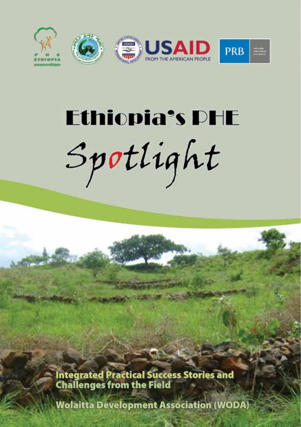

# **Ethiopia's DHE** Spotlight

Integrated Practical Success Stories and<br>Challenges from the Field

**Wolaitta Development Association (WODA)**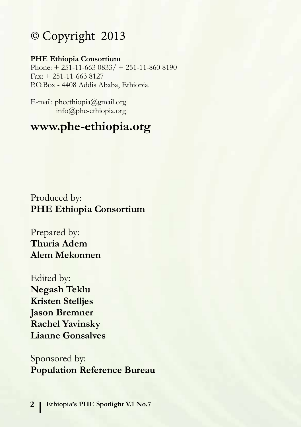# © Copyright 2013

#### **PHE Ethiopia Consortium**

Phone:  $+ 251 - 11 - 663 0833 / + 251 - 11 - 860 8190$ Fax: + 251-11-663 8127 P.O.Box - 4408 Addis Ababa, Ethiopia.

E-mail: pheethiopia@gmail.org info@phe-ethiopia.org

# **www.phe-ethiopia.org**

Produced by: **PHE Ethiopia Consortium**

Prepared by: **Thuria Adem Alem Mekonnen**

Edited by: **Negash Teklu Kristen Stelljes Jason Bremner Rachel Yavinsky Lianne Gonsalves**

Sponsored by: **Population Reference Bureau**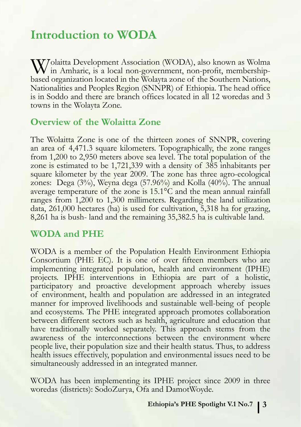# **Introduction to WODA**

Wolaitta Development Association (WODA), also known as Wolma<br>
in Amharic, is a local non-government, non-profit, membership-<br>
head agreements a located in the Waleyta non-o of the Southern Mationa based organization located in the Wolayta zone of the Southern Nations, Nationalities and Peoples Region (SNNPR) of Ethiopia. The head office is in Soddo and there are branch offices located in all 12 woredas and 3 towns in the Wolayta Zone.

#### **Overview of the Wolaitta Zone**

The Wolaitta Zone is one of the thirteen zones of SNNPR, covering an area of 4,471.3 square kilometers. Topographically, the zone ranges from 1,200 to 2,950 meters above sea level. The total population of the zone is estimated to be 1,721,339 with a density of 385 inhabitants per square kilometer by the year 2009. The zone has three agro-ecological zones: Dega (3%), Weyna dega (57.96%) and Kolla (40%). The annual average temperature of the zone is 15.1°C and the mean annual rainfall ranges from 1,200 to 1,300 millimeters. Regarding the land utilization data, 261,000 hectares (ha) is used for cultivation, 5,318 ha for grazing, 8,261 ha is bush- land and the remaining 35,382.5 ha is cultivable land.

#### **WODA and PHE**

WODA is a member of the Population Health Environment Ethiopia Consortium (PHE EC). It is one of over fifteen members who are implementing integrated population, health and environment (IPHE) projects. IPHE interventions in Ethiopia are part of a holistic, participatory and proactive development approach whereby issues of environment, health and population are addressed in an integrated manner for improved livelihoods and sustainable well-being of people and ecosystems. The PHE integrated approach promotes collaboration between different sectors such as health, agriculture and education that have traditionally worked separately. This approach stems from the awareness of the interconnections between the environment where people live, their population size and their health status. Thus, to address health issues effectively, population and environmental issues need to be simultaneously addressed in an integrated manner.

WODA has been implementing its IPHE project since 2009 in three woredas (districts): SodoZurya, Ofa and DamotWoyde.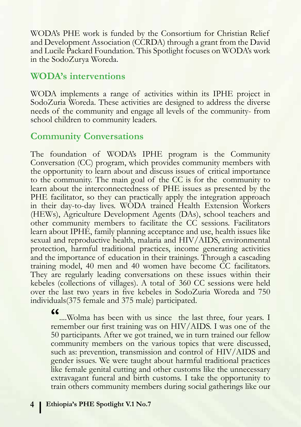WODA's PHE work is funded by the Consortium for Christian Relief and Development Association (CCRDA) through a grant from the David and Lucile Packard Foundation. This Spotlight focuses on WODA's work in the SodoZurya Woreda.

#### **WODA's interventions**

WODA implements a range of activities within its IPHE project in SodoZuria Woreda. These activities are designed to address the diverse needs of the community and engage all levels of the community- from school children to community leaders.

#### **Community Conversations**

The foundation of WODA's IPHE program is the Community Conversation (CC) program, which provides community members with the opportunity to learn about and discuss issues of critical importance to the community. The main goal of the CC is for the community to learn about the interconnectedness of PHE issues as presented by the PHE facilitator, so they can practically apply the integration approach in their day-to-day lives. WODA trained Health Extension Workers (HEWs), Agriculture Development Agents (DAs), school teachers and other community members to facilitate the CC sessions. Facilitators learn about IPHE, family planning acceptance and use, health issues like sexual and reproductive health, malaria and HIV/AIDS, environmental protection, harmful traditional practices, income generating activities and the importance of education in their trainings. Through a cascading training model, 40 men and 40 women have become CC facilitators. They are regularly leading conversations on these issues within their kebeles (collections of villages). A total of 360 CC sessions were held over the last two years in five kebeles in SodoZuria Woreda and 750 individuals(375 female and 375 male) participated.

**"**....Wolma has been with us since the last three, four years. I remember our first training was on HIV/AIDS. I was one of the 50 participants. After we got trained, we in turn trained our fellow community members on the various topics that were discussed, such as: prevention, transmission and control of HIV/AIDS and gender issues. We were taught about harmful traditional practices like female genital cutting and other customs like the unnecessary extravagant funeral and birth customs. I take the opportunity to train others community members during social gatherings like our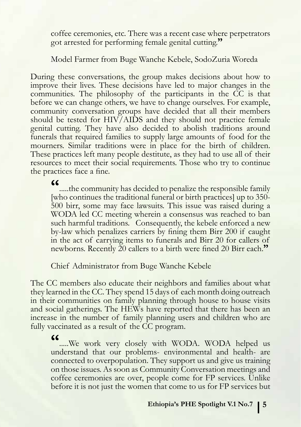coffee ceremonies, etc. There was a recent case where perpetrators got arrested for performing female genital cutting.**"** 

Model Farmer from Buge Wanche Kebele, SodoZuria Woreda

During these conversations, the group makes decisions about how to improve their lives. These decisions have led to major changes in the communities. The philosophy of the participants in the CC is that before we can change others, we have to change ourselves. For example, community conversation groups have decided that all their members should be tested for HIV/AIDS and they should not practice female genital cutting. They have also decided to abolish traditions around funerals that required families to supply large amounts of food for the mourners. Similar traditions were in place for the birth of children. These practices left many people destitute, as they had to use all of their resources to meet their social requirements. Those who try to continue the practices face a fine.

.....the community has decided to penalize the responsible family [who continues the traditional funeral or birth practices] up to 350- 500 birr, some may face lawsuits. This issue was raised during a WODA led CC meeting wherein a consensus was reached to ban such harmful traditions. Consequently, the kebele enforced a new by-law which penalizes carriers by fining them Birr 200 if caught in the act of carrying items to funerals and Birr 20 for callers of newborns. Recently 20 callers to a birth were fined 20 Birr each.**"** 

Chief Administrator from Buge Wanche Kebele

The CC members also educate their neighbors and families about what they learned in the CC. They spend 15 days of each month doing outreach in their communities on family planning through house to house visits and social gatherings. The HEWs have reported that there has been an increase in the number of family planning users and children who are fully vaccinated as a result of the CC program.

**"**.....We work very closely with WODA. WODA helped us understand that our problems- environmental and health- are connected to overpopulation. They support us and give us training on those issues. As soon as Community Conversation meetings and coffee ceremonies are over, people come for FP services. Unlike before it is not just the women that come to us for FP services but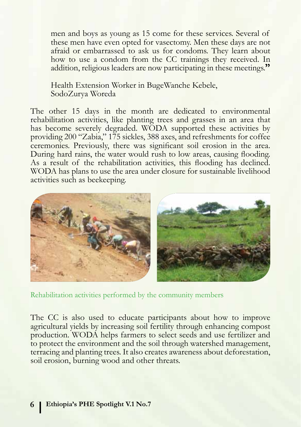men and boys as young as 15 come for these services. Several of these men have even opted for vasectomy. Men these days are not afraid or embarrassed to ask us for condoms. They learn about how to use a condom from the CC trainings they received. In addition, religious leaders are now participating in these meetings.**"** 

Health Extension Worker in BugeWanche Kebele, SodoZurya Woreda

The other 15 days in the month are dedicated to environmental rehabilitation activities, like planting trees and grasses in an area that has become severely degraded. WODA supported these activities by providing 200 "Zabia," 175 sickles, 388 axes, and refreshments for coffee ceremonies. Previously, there was significant soil erosion in the area. During hard rains, the water would rush to low areas, causing flooding. As a result of the rehabilitation activities, this flooding has declined. WODA has plans to use the area under closure for sustainable livelihood activities such as beekeeping.



Rehabilitation activities performed by the community members

The CC is also used to educate participants about how to improve agricultural yields by increasing soil fertility through enhancing compost production. WODA helps farmers to select seeds and use fertilizer and to protect the environment and the soil through watershed management, terracing and planting trees. It also creates awareness about deforestation, soil erosion, burning wood and other threats.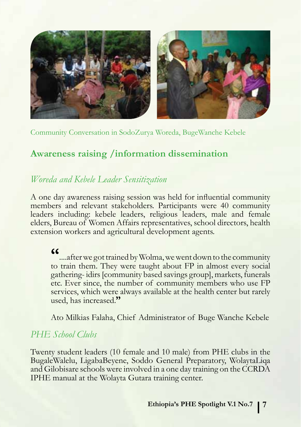

Community Conversation in SodoZurya Woreda, BugeWanche Kebele

### **Awareness raising /information dissemination**

#### *Woreda and Kebele Leader Sensitization*

A one day awareness raising session was held for influential community members and relevant stakeholders. Participants were 40 community leaders including: kebele leaders, religious leaders, male and female elders, Bureau of Women Affairs representatives, school directors, health extension workers and agricultural development agents.

**"**....after we got trained by Wolma, we went down to the community to train them. They were taught about FP in almost every social gathering- idirs [community based savings group], markets, funerals etc. Ever since, the number of community members who use FP services, which were always available at the health center but rarely used, has increased.**"** 

Ato Milkias Falaha, Chief Administrator of Buge Wanche Kebele

#### *PHE School Clubs*

Twenty student leaders (10 female and 10 male) from PHE clubs in the BugaleWalelu, LigabaBeyene, Soddo General Preparatory, WolaytaLiqa and Gilobisare schools were involved in a one day training on the CCRDA IPHE manual at the Wolayta Gutara training center.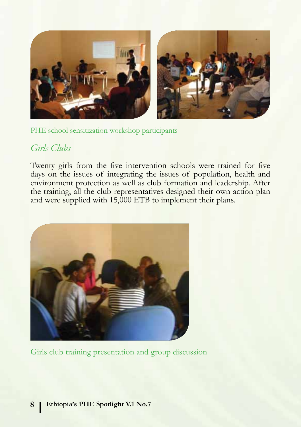

PHE school sensitization workshop participants

#### *Girls Clubs*

Twenty girls from the five intervention schools were trained for five days on the issues of integrating the issues of population, health and environment protection as well as club formation and leadership. After the training, all the club representatives designed their own action plan and were supplied with 15,000 ETB to implement their plans.



Girls club training presentation and group discussion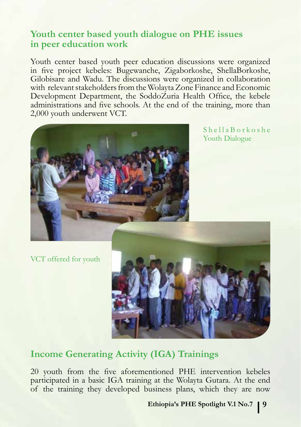### **Youth center based youth dialogue on PHE issues in peer education work**

Youth center based youth peer education discussions were organized in five project kebeles: Bugewanche, Zigaborkoshe, ShellaBorkoshe, Gilobisare and Wadu. The discussions were organized in collaboration with relevant stakeholders from the Wolayta Zone Finance and Economic Development Department, the SoddoZuria Health Office, the kebele administrations and five schools. At the end of the training, more than 2,000 youth underwent VCT.



 $Sh$ ella Borkoshe Youth Dialogue

VCT offered for youth



### **Income Generating Activity (IGA) Trainings**

20 youth from the five aforementioned PHE intervention kebeles participated in a basic IGA training at the Wolayta Gutara. At the end of the training they developed business plans, which they are now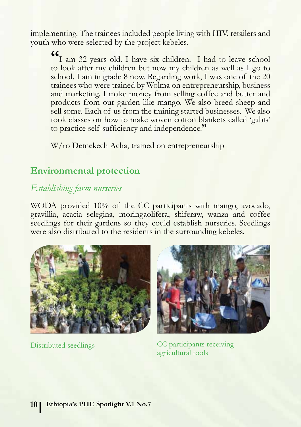implementing. The trainees included people living with HIV, retailers and youth who were selected by the project kebeles.

**"**I am 32 years old. I have six children. I had to leave school to look after my children but now my children as well as I go to school. I am in grade 8 now. Regarding work, I was one of the 20 trainees who were trained by Wolma on entrepreneurship, business and marketing. I make money from selling coffee and butter and products from our garden like mango. We also breed sheep and sell some. Each of us from the training started businesses. We also took classes on how to make woven cotton blankets called 'gabis' to practice self-sufficiency and independence.**"** 

W/ro Demekech Acha, trained on entrepreneurship

#### **Environmental protection**

#### *Establishing farm nurseries*

WODA provided 10% of the CC participants with mango, avocado, gravillia, acacia selegina, moringaolifera, shiferaw, wanza and coffee seedlings for their gardens so they could establish nurseries. Seedlings were also distributed to the residents in the surrounding kebeles.





Distributed seedlings CC participants receiving agricultural tools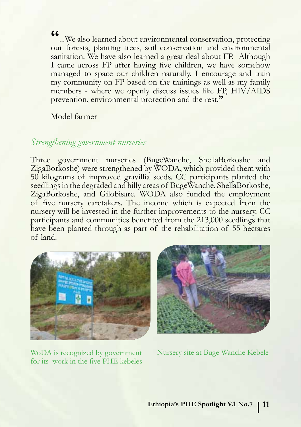**"**...We also learned about environmental conservation, protecting our forests, planting trees, soil conservation and environmental sanitation. We have also learned a great deal about FP. Although I came across FP after having five children, we have somehow managed to space our children naturally. I encourage and train my community on FP based on the trainings as well as my family members - where we openly discuss issues like FP, HIV/AIDS prevention, environmental protection and the rest.**"**

Model farmer

#### *Strengthening government nurseries*

Three government nurseries (BugeWanche, ShellaBorkoshe and ZigaBorkoshe) were strengthened by WODA, which provided them with 50 kilograms of improved gravillia seeds. CC participants planted the seedlings in the degraded and hilly areas of BugeWanche, ShellaBorkoshe, ZigaBorkoshe, and Gilobisare. WODA also funded the employment of five nursery caretakers. The income which is expected from the nursery will be invested in the further improvements to the nursery. CC participants and communities benefited from the 213,000 seedlings that have been planted through as part of the rehabilitation of 55 hectares of land.





WoDA is recognized by government for its work in the five PHE kebeles

Nursery site at Buge Wanche Kebele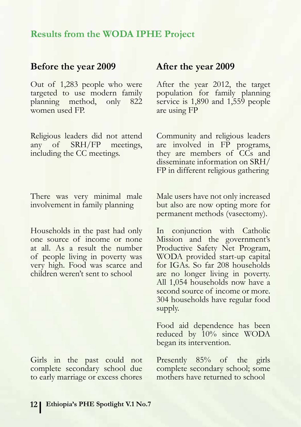#### **Results from the WODA IPHE Project**

# **Before the year 2009 After the year 2009**

Out of 1,283 people who were targeted to use modern family<br>planning method, only 822 planning method, women used FP.

Religious leaders did not attend any of SRH/FP meetings, including the CC meetings.

There was very minimal male involvement in family planning

Households in the past had only one source of income or none at all. As a result the number of people living in poverty was very high. Food was scarce and children weren't sent to school

Girls in the past could not complete secondary school due to early marriage or excess chores

After the year 2012, the target population for family planning service is 1,890 and 1,559 people are using FP

Community and religious leaders are involved in FP programs, they are members of CCs and disseminate information on SRH/ FP in different religious gathering

Male users have not only increased but also are now opting more for permanent methods (vasectomy).

In conjunction with Catholic Mission and the government's Productive Safety Net Program, WODA provided start-up capital for IGAs. So far 208 households are no longer living in poverty. All 1,054 households now have a second source of income or more. 304 households have regular food supply.

Food aid dependence has been reduced by 10% since WODA began its intervention.

Presently 85% of the girls complete secondary school; some mothers have returned to school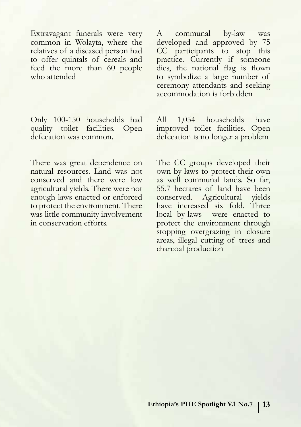Extravagant funerals were very common in Wolayta, where the relatives of a diseased person had to offer quintals of cereals and feed the more than 60 people who attended

Only 100-150 households had<br>quality toilet facilities. Open quality toilet facilities. defecation was common.

There was great dependence on natural resources. Land was not conserved and there were low agricultural yields. There were not enough laws enacted or enforced to protect the environment. There was little community involvement in conservation efforts.

A communal by-law was developed and approved by 75 CC participants to stop this practice. Currently if someone dies, the national flag is flown to symbolize a large number of ceremony attendants and seeking accommodation is forbidden

All 1,054 households have improved toilet facilities. Open defecation is no longer a problem

The CC groups developed their own by-laws to protect their own as well communal lands. So far, 55.7 hectares of land have been conserved. Agricultural yields have increased six fold. Three local by-laws were enacted to protect the environment through stopping overgrazing in closure areas, illegal cutting of trees and charcoal production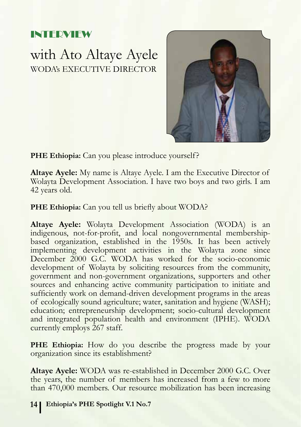## INTERVIEW

with Ato Altaye Ayele WODA's EXECUTIVE DIRECTOR



**PHE Ethiopia:** Can you please introduce yourself?

**Altaye Ayele:** My name is Altaye Ayele. I am the Executive Director of Wolayta Development Association. I have two boys and two girls. I am 42 years old.

**PHE Ethiopia:** Can you tell us briefly about WODA?

**Altaye Ayele:** Wolayta Development Association (WODA) is an indigenous, not-for-profit, and local nongovernmental membershipbased organization, established in the 1950s. It has been actively implementing development activities in the Wolayta zone since December 2000 G.C. WODA has worked for the socio-economic development of Wolayta by soliciting resources from the community, government and non-government organizations, supporters and other sources and enhancing active community participation to initiate and sufficiently work on demand-driven development programs in the areas of ecologically sound agriculture; water, sanitation and hygiene (WASH); education; entrepreneurship development; socio-cultural development and integrated population health and environment (IPHE). WODA currently employs 267 staff.

PHE Ethiopia: How do you describe the progress made by your organization since its establishment?

**Altaye Ayele:** WODA was re-established in December 2000 G.C. Over the years, the number of members has increased from a few to more than 470,000 members. Our resource mobilization has been increasing

**14 Ethiopia's PHE Spotlight V.1 No.7 Ethiopia's PHE Spotlight V.1 No.7 15**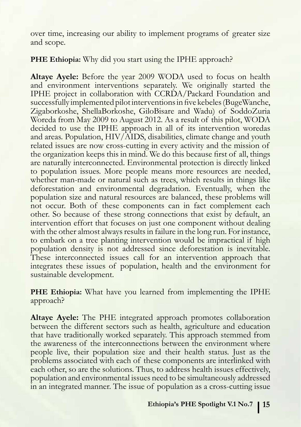over time, increasing our ability to implement programs of greater size and scope.

#### **PHE Ethiopia:** Why did you start using the IPHE approach?

**Altaye Ayele:** Before the year 2009 WODA used to focus on health and environment interventions separately. We originally started the IPHE project in collaboration with CCRDA/Packard Foundation and successfully implemented pilot interventions in five kebeles (BugeWanche, Zigaborkoshe, ShellaBorkoshe, GiloBisare and Wadu) of SoddoZuria Woreda from May 2009 to August 2012. As a result of this pilot, WODA decided to use the IPHE approach in all of its intervention woredas and areas. Population, HIV/AIDS, disabilities, climate change and youth related issues are now cross-cutting in every activity and the mission of the organization keeps this in mind. We do this because first of all, things are naturally interconnected. Environmental protection is directly linked to population issues. More people means more resources are needed, whether man-made or natural such as trees, which results in things like deforestation and environmental degradation. Eventually, when the population size and natural resources are balanced, these problems will not occur. Both of these components can in fact complement each other. So because of these strong connections that exist by default, an intervention effort that focuses on just one component without dealing with the other almost always results in failure in the long run. For instance, to embark on a tree planting intervention would be impractical if high population density is not addressed since deforestation is inevitable. These interconnected issues call for an intervention approach that integrates these issues of population, health and the environment for sustainable development.

**PHE Ethiopia:** What have you learned from implementing the IPHE approach?

**Altaye Ayele:** The PHE integrated approach promotes collaboration between the different sectors such as health, agriculture and education that have traditionally worked separately. This approach stemmed from the awareness of the interconnections between the environment where people live, their population size and their health status. Just as the problems associated with each of these components are interlinked with each other, so are the solutions. Thus, to address health issues effectively, population and environmental issues need to be simultaneously addressed in an integrated manner. The issue of population as a cross-cutting issue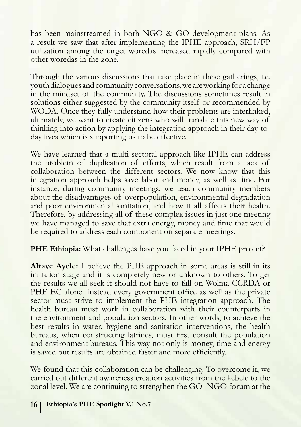has been mainstreamed in both NGO & GO development plans. As a result we saw that after implementing the IPHE approach, SRH/FP utilization among the target woredas increased rapidly compared with other woredas in the zone.

Through the various discussions that take place in these gatherings, i.e. youth dialogues and community conversations, we are working for a change in the mindset of the community. The discussions sometimes result in solutions either suggested by the community itself or recommended by WODA. Once they fully understand how their problems are interlinked, ultimately, we want to create citizens who will translate this new way of thinking into action by applying the integration approach in their day-today lives which is supporting us to be effective.

We have learned that a multi-sectoral approach like IPHE can address the problem of duplication of efforts, which result from a lack of collaboration between the different sectors. We now know that this integration approach helps save labor and money, as well as time. For instance, during community meetings, we teach community members about the disadvantages of overpopulation, environmental degradation and poor environmental sanitation, and how it all affects their health. Therefore, by addressing all of these complex issues in just one meeting we have managed to save that extra energy, money and time that would be required to address each component on separate meetings.

**PHE Ethiopia:** What challenges have you faced in your IPHE project?

**Altaye Ayele:** I believe the PHE approach in some areas is still in its initiation stage and it is completely new or unknown to others. To get the results we all seek it should not have to fall on Wolma CCRDA or PHE EC alone. Instead every government office as well as the private sector must strive to implement the PHE integration approach. The health bureau must work in collaboration with their counterparts in the environment and population sectors. In other words, to achieve the best results in water, hygiene and sanitation interventions, the health bureaus, when constructing latrines, must first consult the population and environment bureaus. This way not only is money, time and energy is saved but results are obtained faster and more efficiently.

We found that this collaboration can be challenging. To overcome it, we carried out different awareness creation activities from the kebele to the zonal level. We are continuing to strengthen the GO- NGO forum at the

#### **16 Ethiopia's PHE Spotlight V.1 No.7 Ethiopia's PHE Spotlight V.1 No.7 17**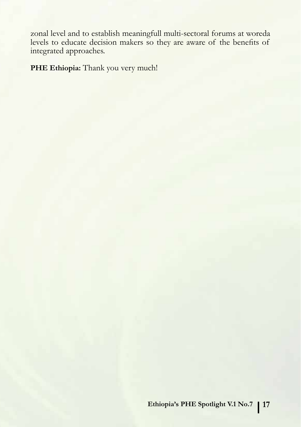zonal level and to establish meaningfull multi-sectoral forums at woreda levels to educate decision makers so they are aware of the benefits of integrated approaches.

PHE Ethiopia: Thank you very much!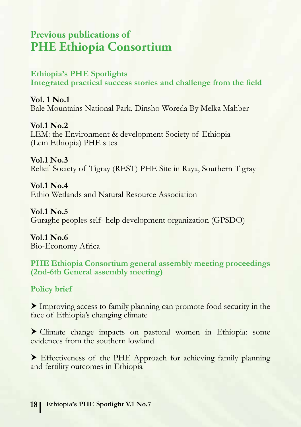# **Previous publications of PHE Ethiopia Consortium**

#### **Ethiopia's PHE Spotlights**

**Integrated practical success stories and challenge from the field**

**Vol. 1 No.1** Bale Mountains National Park, Dinsho Woreda By Melka Mahber

**Vol.1 No.2** LEM: the Environment & development Society of Ethiopia (Lem Ethiopia) PHE sites

**Vol.1 No.3** Relief Society of Tigray (REST) PHE Site in Raya, Southern Tigray

**Vol.1 No.4** Ethio Wetlands and Natural Resource Association

**Vol.1 No.5** Guraghe peoples self- help development organization (GPSDO)

**Vol.1 No.6** Bio-Economy Africa

**PHE Ethiopia Consortium general assembly meeting proceedings (2nd-6th General assembly meeting)**

**Policy brief** 

Improving access to family planning can promote food security in the face of Ethiopia's changing climate

 Climate change impacts on pastoral women in Ethiopia: some evidences from the southern lowland

 Effectiveness of the PHE Approach for achieving family planning and fertility outcomes in Ethiopia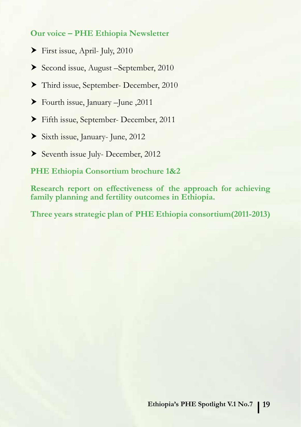#### **Our voice – PHE Ethiopia Newsletter**

- First issue, April- July, 2010
- Second issue, August –September, 2010
- Third issue, September- December, 2010
- Fourth issue, January –June ,2011
- Fifth issue, September- December, 2011
- Sixth issue, January- June, 2012
- Seventh issue July- December, 2012

**PHE Ethiopia Consortium brochure 1&2**

**Research report on effectiveness of the approach for achieving family planning and fertility outcomes in Ethiopia.** 

**Three years strategic plan of PHE Ethiopia consortium(2011-2013)**